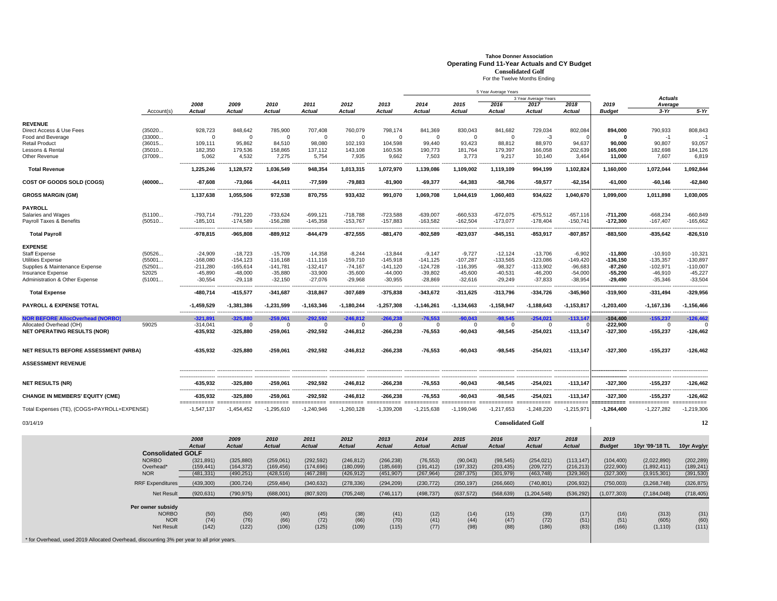## **Tahoe Donner Association Operating Fund 11-Year Actuals and CY Budget Consolidated Golf**

For the Twelve Months Ending

|                                                                                         |                                 |                                |                            |                            |                         |                         |                       |                       |                             | 5 Year Average Years  |                                       | <b>Actuals</b>          |                       |                         |                         |
|-----------------------------------------------------------------------------------------|---------------------------------|--------------------------------|----------------------------|----------------------------|-------------------------|-------------------------|-----------------------|-----------------------|-----------------------------|-----------------------|---------------------------------------|-------------------------|-----------------------|-------------------------|-------------------------|
|                                                                                         |                                 | 2008                           | 2009                       | 2010                       | 2011                    | 2012                    | 2013                  | 2014                  | 2015                        | 2016                  | 3 Year Average Years<br>2017          | 2018                    | 2019                  | Average                 |                         |
|                                                                                         | Account(s)                      | Actual                         | Actual                     | Actual                     | Actual                  | Actual                  | <b>Actual</b>         | Actual                | <b>Actual</b>               | Actual                | Actual                                | Actual                  | <b>Budget</b>         | $3-Yr$                  | $5-Yr$                  |
|                                                                                         |                                 |                                |                            |                            |                         |                         |                       |                       |                             |                       |                                       |                         |                       |                         |                         |
| <b>REVENUE</b><br>Direct Access & Use Fees                                              | (35020                          | 928,723                        | 848,642                    | 785,900                    | 707,408                 | 760,079                 | 798,174               | 841,369               | 830,043                     | 841,682               | 729,034                               | 802,084                 | 894,000               | 790,933                 | 808,843                 |
| Food and Beverage                                                                       | (33000                          | $\Omega$                       | $\Omega$                   | $\Omega$                   | $\mathbf 0$             | $\mathbf 0$             | $\Omega$              | $\Omega$              | $\Omega$                    | $\Omega$              | $-3$                                  |                         | $\Omega$              | $-1$                    | ×,                      |
| <b>Retail Product</b>                                                                   | (36015                          | 109,111                        | 95,862                     | 84,510                     | 98,080                  | 102,193                 | 104,598               | 99,440                | 93,423                      | 88,812                | 88,970                                | 94.637                  | 90.000                | 90,807                  | 93,057                  |
| <b>Lessons &amp; Rental</b>                                                             | (35010                          | 182,350                        | 179,536                    | 158,865                    | 137,112                 | 143,108                 | 160,536               | 190,773               | 181,764                     | 179,397               | 166,058                               | 202,639                 | 165,000               | 182,698                 | 184,126                 |
| Other Revenue                                                                           | (37009                          | 5,062                          | 4,532                      | 7,275                      | 5,754                   | 7,935                   | 9,662                 | 7,503                 | 3,773                       | 9,217                 | 10,140                                | 3,464                   | 11,000                | 7,607                   | 6,819                   |
| <b>Total Revenue</b>                                                                    |                                 | 1,225,246                      | 1,128,572                  | 1,036,549                  | 948,354                 | 1,013,315               | 1,072,970             | 1,139,086             | 1,109,002                   | 1,119,109             | 994,199                               | 1,102,824               | 1,160,000             | 1,072,044               | 1,092,844               |
| <b>COST OF GOODS SOLD (COGS)</b>                                                        | (40000                          | $-87.608$                      | $-73,066$                  | $-64,011$                  | $-77,599$               | $-79,883$               | $-81,900$             | $-69,377$             | $-64,383$                   | $-58,706$             | $-59,577$                             | $-62,154$               | $-61.000$             | $-60,146$               | $-62,840$               |
| <b>GROSS MARGIN (GM)</b>                                                                |                                 | 1,137,638                      | 1,055,506                  | 972,538                    | 870,755                 | 933,432                 | 991,070               | 1,069,708             | 1,044,619                   | 1,060,403             | 934,622                               | 1,040,670               | 1,099,000             | 1,011,898               | 1,030,005               |
| <b>PAYROLL</b>                                                                          |                                 |                                |                            |                            |                         |                         |                       |                       |                             |                       |                                       |                         |                       |                         |                         |
| Salaries and Wages                                                                      | (51100                          | $-793,714$                     | $-791,220$                 | $-733,624$                 | $-699, 121$             | $-718,788$              | $-723,588$            | $-639,007$            | $-660,533$                  | $-672,075$            | $-675,512$                            | $-657,116$              | $-711,200$            | $-668,234$              | $-660,849$              |
| Payroll Taxes & Benefits                                                                | (50510                          | $-185,101$                     | $-174,589$                 | $-156,288$                 | $-145,358$              | $-153,767$              | $-157,883$            | $-163,582$            | $-162,504$                  | $-173,077$            | $-178,404$                            | $-150,741$              | $-172,300$            | $-167,407$              | $-165,662$              |
| <b>Total Payroll</b>                                                                    |                                 | $-978,815$                     | $-965,808$                 | $-889,912$                 | $-844,479$              | $-872,555$              | $-881,470$            | $-802,589$            | $-823,037$                  | $-845,151$            | $-853,917$                            | $-807, 857$             | $-883,500$            | $-835,642$              | $-826,510$              |
| <b>EXPENSE</b>                                                                          |                                 |                                |                            |                            |                         |                         |                       |                       |                             |                       |                                       |                         |                       |                         |                         |
| <b>Staff Expense</b>                                                                    | (50526                          | $-24,909$                      | $-18,723$                  | $-15,709$                  | $-14,358$               | $-8,244$                | $-13,844$             | $-9,147$              | $-9,727$                    | $-12,124$             | $-13,706$                             | $-6,902$                | $-11.800$             | $-10,910$               | $-10,321$               |
| Utilities Expense                                                                       | (55001                          | $-168,080$                     | $-154, 123$                | $-116, 168$                | $-111,116$              | $-159,710$              | $-145,918$            | $-141, 125$           | $-107,287$                  | $-133,565$            | $-123,086$                            | $-149,420$              | $-136, 150$           | $-135,357$              | $-130,897$              |
| Supplies & Maintenance Expense                                                          | (52501                          | $-211,280$                     | $-165,614$                 | $-141,781$                 | $-132,417$              | $-74,167$               | $-141,120$            | $-124,728$            | $-116,395$                  | $-98,327$             | $-113,902$                            | $-96,683$               | $-87,260$             | $-102,971$              | $-110,007$              |
| <b>Insurance Expense</b>                                                                | 52025                           | $-45,890$                      | $-48,000$                  | $-35,880$                  | $-33,900$               | $-35,600$               | $-44,000$             | $-39,802$             | $-45,600$                   | $-40,531$             | $-46,200$                             | $-54,000$               | $-55,200$             | $-46,910$               | $-45,227$               |
| <b>Administration &amp; Other Expense</b>                                               | (51001                          | $-30,554$                      | $-29,118$                  | $-32,150$                  | $-27,076$               | $-29,968$               | $-30,955$             | $-28,869$             | $-32,616$                   | $-29,249$             | $-37,833$                             | $-38,954$               | $-29,490$             | $-35,346$               | $-33,504$               |
| <b>Total Expense</b>                                                                    |                                 | $-480,714$                     | $-415,577$                 | $-341,687$                 | $-318,867$              | $-307,689$              | $-375,838$            | $-343,672$            | $-311,625$                  | $-313,796$            | $-334,726$                            | $-345,960$              | $-319,900$            | $-331,494$              | $-329,956$              |
| <b>PAYROLL &amp; EXPENSE TOTAL</b>                                                      |                                 | $-1,459,529$<br>               | $-1,381,386$               | $-1,231,599$               | $-1,163,346$            | $-1,180,244$            | $-1,257,308$          | $-1,146,261$          | $-1,134,663$                | $-1,158,947$          | $-1,188,643$                          | $-1, 153, 817$          | $-1,203,400$          | $-1,167,136$            | $-1,156,466$            |
| <b>NOR BEFORE AllocOverhead (NORBO)</b>                                                 |                                 | $-321.891$                     | $-325.880$                 | $-259,061$                 | $-292.592$              | $-246,812$              | $-266,238$            | $-76,553$             | $-90,043$                   | $-98,545$             | $-254,021$                            | $-113,147$              | $-104.400$            | $-155.237$              | $-126,462$              |
| Allocated Overhead (OH)                                                                 | 59025                           | $-314,041$                     | $\Omega$                   | $\Omega$                   | $\Omega$                | 0                       | $\Omega$              | 0                     | $\Omega$                    | $\Omega$              | $\Omega$                              |                         | $-222,900$            | $\mathbf 0$             |                         |
| <b>NET OPERATING RESULTS (NOR)</b>                                                      |                                 | $-635,932$                     | -325,880                   | $-259,061$                 | $-292,592$              | $-246,812$              | $-266,238$            | $-76,553$             | $-90,043$                   | $-98,545$             | $-254,021$                            | $-113,147$              | $-327,300$            | $-155,237$              | $-126,462$              |
| <b>NET RESULTS BEFORE ASSESSMENT (NRBA)</b>                                             |                                 | $-635,932$                     | $-325,880$                 | $-259,061$                 | $-292,592$              | $-246,812$              | $-266,238$            | $-76,553$             | $-90,043$                   | $-98,545$             | $-254,021$                            | $-113,147$              | $-327,300$            | $-155,237$              | $-126,462$              |
| <b>ASSESSMENT REVENUE</b>                                                               |                                 |                                |                            |                            |                         |                         |                       |                       |                             |                       |                                       |                         |                       |                         |                         |
|                                                                                         |                                 |                                |                            |                            |                         |                         |                       |                       |                             |                       |                                       |                         |                       |                         |                         |
| <b>NET RESULTS (NR)</b>                                                                 |                                 | $-635,932$                     | -325,880                   | $-259,061$                 | $-292,592$              | $-246,812$              | $-266,238$            | $-76,553$             | $-90,043$                   | $-98,545$             | $-254,021$                            | $-113,147$              | $-327,300$            | $-155,237$              | $-126,462$              |
| <b>CHANGE IN MEMBERS' EQUITY (CME)</b>                                                  |                                 | $-635,932$                     | $-325,880$                 | $-259,061$                 | $-292,592$              | $-246,812$              | $-266,238$            | $-76,553$             | $-90,043$                   | $-98,545$             | $-254,021$                            | $-113, 147$             | $-327,300$            | $-155,237$              | $-126,462$              |
| Total Expenses (TE), (COGS+PAYROLL+EXPENSE)                                             |                                 | =========== ==<br>$-1,547,137$ | ======= ==<br>$-1,454,452$ | ======= ==<br>$-1,295,610$ | -------<br>$-1,240,946$ | -------<br>$-1,260,128$ | $-1,339,208$          | $-1,215,638$          | ===========<br>$-1,199,046$ | $-1,217,653$          | ====== =========== =:<br>$-1,248,220$ | --------<br>$-1,215,97$ | $-1,264,400$          | -------<br>$-1,227,282$ | =======<br>$-1,219,306$ |
| 03/14/19                                                                                |                                 |                                |                            |                            |                         |                         |                       |                       |                             |                       | <b>Consolidated Golf</b>              |                         |                       |                         | 12                      |
|                                                                                         |                                 |                                |                            |                            |                         |                         |                       |                       |                             |                       |                                       |                         |                       |                         |                         |
|                                                                                         |                                 | 2008<br><b>Actual</b>          | 2009<br><b>Actual</b>      | 2010<br>Actual             | 2011<br><b>Actual</b>   | 2012<br><b>Actual</b>   | 2013<br><b>Actual</b> | 2014<br><b>Actual</b> | 2015<br><b>Actual</b>       | 2016<br><b>Actual</b> | 2017<br><b>Actual</b>                 | 2018<br><b>Actual</b>   | 2019<br><b>Budget</b> | 10yr '09-'18 TL         | 10yr Avg/yr             |
|                                                                                         | <b>Consolidated GOLF</b>        |                                |                            |                            |                         |                         |                       |                       |                             |                       |                                       |                         |                       |                         |                         |
|                                                                                         | <b>NORBO</b>                    | (321, 891)                     | (325, 880)                 | (259,061)                  | (292, 592)              | (246, 812)              | (266, 238)            | (76, 553)             | (90, 043)                   | (98, 545)             | (254, 021)                            | (113, 147)              | (104, 400)            | (2,022,890)             | (202, 289)              |
|                                                                                         | Overhead*                       | (159, 441)                     | (164, 372)                 | (169, 456)                 | (174, 696)              | (180,099)               | (185, 669)            | (191, 412)            | (197, 332)                  | (203, 435)            | (209, 727)                            | (216, 213)              | (222, 900)            | (1,892,411)             | (189, 241)              |
|                                                                                         | <b>NOR</b>                      | (481, 331)                     | (490, 251)                 | (428, 516)                 | (467, 288)              | (426, 912)              | (451, 907)            | (267, 964)            | (287, 375)                  | (301, 979)            | (463, 748)                            | (329, 360)              | (327, 300)            | (3,915,301)             | (391, 530)              |
|                                                                                         | <b>RRF Expenditures</b>         | (439, 300)                     | (300, 724)                 | (259, 484)                 | (340, 632)              | (278, 336)              | (294, 209)            | (230, 772)            | (350, 197)                  | (266, 660)            | (740, 801)                            | (206, 932)              | (750,003)             | (3,268,748)             | (326, 875)              |
|                                                                                         | Net Result                      | (920, 631)                     | (790, 975)                 | (688,001)                  | (807, 920)              | (705, 248)              | (746, 117)            | (498, 737)            | (637, 572)                  | (568, 639)            | (1, 204, 548)                         | (536, 292)              | (1,077,303)           | (7, 184, 048)           | (718, 405)              |
|                                                                                         |                                 |                                |                            |                            |                         |                         |                       |                       |                             |                       |                                       |                         |                       |                         |                         |
|                                                                                         | Per owner subsidy               |                                |                            |                            |                         |                         |                       |                       |                             |                       |                                       |                         |                       |                         |                         |
|                                                                                         | <b>NORBO</b>                    | (50)                           | (50)                       | (40)                       | (45)                    | (38)                    | (41)                  | (12)                  | (14)                        | (15)                  | (39)                                  | (17)                    | (16)                  | (313)                   | (31)                    |
|                                                                                         | <b>NOR</b><br><b>Net Result</b> | (74)<br>(142)                  | (76)<br>(122)              | (66)<br>(106)              | (72)<br>(125)           | (66)<br>(109)           | (70)<br>(115)         | (41)<br>(77)          | (44)<br>(98)                | (47)<br>(88)          | (72)<br>(186)                         | (51)<br>(83)            | (51)<br>(166)         | (605)<br>(1, 110)       | (60)<br>(111)           |
|                                                                                         |                                 |                                |                            |                            |                         |                         |                       |                       |                             |                       |                                       |                         |                       |                         |                         |
| for Overhead, used 2019 Allocated Overhead, discounting 3% per vear to all prior vears. |                                 |                                |                            |                            |                         |                         |                       |                       |                             |                       |                                       |                         |                       |                         |                         |

\* for Overhead, used 2019 Allocated Overhead, discounting 3% per year to all prior years.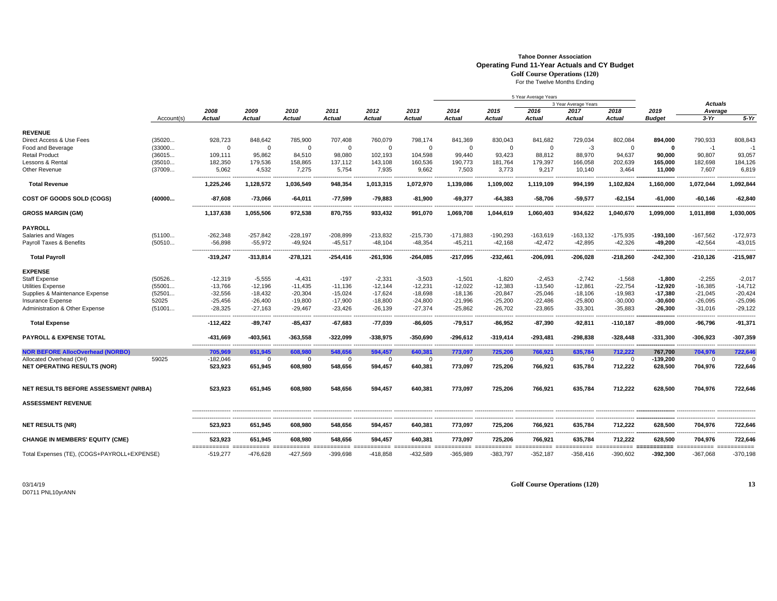## **Tahoe Donner AssociationOperating Fund 11-Year Actuals and CY Budget**

**Golf Course Operations (120)** For the Twelve Months Ending

|                                                        |            |                       |                                                                                                   | 2010<br>Actual      | 2011<br>Actual      | 2012<br><b>Actual</b> | 2013<br><b>Actual</b>   |                     |                     | 5 Year Average Years |                      |                         |                     |                           |                     |
|--------------------------------------------------------|------------|-----------------------|---------------------------------------------------------------------------------------------------|---------------------|---------------------|-----------------------|-------------------------|---------------------|---------------------|----------------------|----------------------|-------------------------|---------------------|---------------------------|---------------------|
|                                                        |            |                       |                                                                                                   |                     |                     |                       |                         |                     |                     |                      | 3 Year Average Years |                         |                     | <b>Actuals</b><br>Average |                     |
|                                                        |            | 2008                  | 2009                                                                                              |                     |                     |                       |                         | 2014<br>Actual      | 2015<br>Actual      | 2016<br>Actual       | 2017<br>Actual       | 2018                    | 2019                |                           |                     |
|                                                        | Account(s) | Actual                | <b>Actual</b>                                                                                     |                     |                     |                       |                         |                     |                     |                      |                      | Actual                  | Budget              | $3-Yr$                    | $5-Yr$              |
| <b>REVENUE</b>                                         |            |                       |                                                                                                   |                     |                     |                       |                         |                     |                     |                      |                      |                         |                     |                           |                     |
| Direct Access & Use Fees                               | (35020     | 928,723               | 848,642                                                                                           | 785,900             | 707,408             | 760,079               | 798,174                 | 841,369             | 830,043             | 841,682              | 729,034              | 802,084                 | 894,000             | 790,933                   | 808,843             |
| Food and Beverage                                      | (33000     | $\Omega$              | $\Omega$                                                                                          | $\mathbf 0$         | 0                   | $\mathbf 0$           | $\mathbf 0$             | $\Omega$            | $\mathbf 0$         | $\Omega$             | $-3$                 | $\Omega$                | 0                   | $-1$                      | $-1$                |
| <b>Retail Product</b>                                  | (36015     | 109,111               | 95,862                                                                                            | 84,510              | 98,080              | 102,193               | 104,598                 | 99,440              | 93,423              | 88,812               | 88,970               | 94,637                  | 90,000              | 90,807                    | 93,057              |
|                                                        |            | 182,350               | 179,536                                                                                           |                     |                     |                       |                         |                     |                     | 179,397              |                      |                         |                     |                           |                     |
| Lessons & Rental                                       | (35010     |                       |                                                                                                   | 158,865             | 137,112             | 143,108               | 160,536                 | 190,773             | 181,764             |                      | 166,058              | 202,639                 | 165,000             | 182,698                   | 184,126             |
| Other Revenue                                          | (37009     | 5,062                 | 4,532                                                                                             | 7,275               | 5,754               | 7,935                 | 9,662                   | 7,503               | 3,773               | 9,217                | 10,140               | 3,464                   | 11,000              | 7,607                     | 6,819               |
| <b>Total Revenue</b>                                   |            | 1,225,246             | 1,128,572                                                                                         | 1,036,549           | 948,354             | 1,013,315             | 1,072,970               | 1,139,086           | 1,109,002           | 1,119,109            | 994.199              | 1,102,824               | 1,160,000           | 1,072,044                 | 1,092,844           |
| <b>COST OF GOODS SOLD (COGS)</b>                       | (40000     | $-87,608$             | $-73,066$                                                                                         | $-64,011$           | $-77,599$           | $-79,883$             | -81,900                 | $-69,377$           | -64,383             | -58,706              | $-59,577$            | -62,154                 | $-61,000$           | -60,146                   | $-62,840$           |
| <b>GROSS MARGIN (GM)</b>                               |            | 1,137,638             | 1,055,506                                                                                         | 972,538             | 870,755             | 933,432               | 991,070                 | 1,069,708           | 1,044,619           | 1,060,403            | 934,622              | 1,040,670               | 1,099,000           | 1,011,898                 | 1,030,005           |
| PAYROLL                                                |            |                       |                                                                                                   |                     |                     |                       |                         |                     |                     |                      |                      |                         |                     |                           |                     |
| Salaries and Wages                                     | (51100     | $-262,348$            | $-257,842$                                                                                        | $-228,197$          | $-208,899$          | $-213,832$            | $-215,730$              | $-171,883$          | $-190,293$          | $-163,619$           | $-163, 132$          | $-175,935$              | $-193,100$          | $-167,562$                | $-172,973$          |
| Payroll Taxes & Benefits                               | (50510     | $-56,898$             | $-55,972$                                                                                         | $-49,924$           | $-45,517$           | $-48,104$             | $-48,354$               | $-45,211$           | $-42,168$           | $-42,472$            | $-42,895$            | $-42,326$               | $-49,200$           | $-42,564$                 | $-43,015$           |
|                                                        |            |                       |                                                                                                   |                     |                     |                       |                         |                     |                     |                      |                      |                         |                     |                           |                     |
| <b>Total Payroll</b>                                   |            | -319,247              | $-313,814$                                                                                        | -278,121            | $-254,416$          | -261,936              | $-264,085$              | -217,095            | $-232,461$          | -206,091             | $-206,028$           | -218,260                | -242,300            | -210,126                  | $-215,987$          |
| <b>EXPENSE</b>                                         |            |                       |                                                                                                   |                     |                     |                       |                         |                     |                     |                      |                      |                         |                     |                           |                     |
| <b>Staff Expense</b>                                   | (50526     | $-12,319$             | $-5,555$                                                                                          | $-4,431$            | $-197$              | $-2,331$              | $-3.503$                | $-1,501$            | $-1,820$            | $-2,453$             | $-2,742$             | $-1,568$                | $-1.800$            | $-2.255$                  | $-2.017$            |
| Utilities Expense                                      | (55001     | $-13,766$             | $-12,196$                                                                                         | $-11,435$           | $-11,136$           | $-12,144$             | $-12,231$               | $-12,022$           | $-12,383$           | $-13,540$            | $-12,861$            | $-22,754$               | $-12,920$           | $-16,385$                 | $-14,712$           |
| Supplies & Maintenance Expense                         | (52501     | $-32,556$             | $-18,432$                                                                                         | $-20,304$           | $-15,024$           | $-17,624$             | $-18,698$               | $-18,136$           | $-20,847$           | $-25,046$            | $-18,106$            | $-19,983$               | $-17,380$           | $-21,045$                 | $-20,424$           |
| <b>Insurance Expense</b>                               | 52025      | $-25,456$             | $-26,400$                                                                                         | $-19,800$           | $-17,900$           | $-18.800$             | $-24,800$               | $-21,996$           | $-25,200$           | $-22,486$            | $-25,800$            | $-30,000$               | $-30,600$           | $-26,095$                 | $-25,096$           |
| <b>Administration &amp; Other Expense</b>              | (51001     | $-28,325$             | $-27,163$                                                                                         | $-29,467$           | $-23,426$           | $-26,139$             | $-27,374$               | $-25,862$           | $-26,702$           | $-23,865$            | $-33,301$            | $-35,883$               | $-26,300$           | -31,016                   | $-29,122$           |
| <b>Total Expense</b>                                   |            | $-112,422$            | $-89,747$                                                                                         | $-85,437$           | $-67,683$           | $-77,039$             | -86,605                 | $-79,517$           | -86,952             | $-87,390$            | $-92,811$            | $-110,187$              | $-89,000$           | -96,796                   | $-91,371$           |
| <b>PAYROLL &amp; EXPENSE TOTAL</b>                     |            | -431,669              | -403,561                                                                                          | -363,558            | -322,099            | -338,975              | $-350,690$              | -296,612            | $-319,414$          | -293,481             | $-298,838$           | -328,448                | $-331,300$          | -306,923                  | $-307,359$          |
|                                                        |            |                       |                                                                                                   |                     |                     |                       |                         |                     |                     |                      |                      |                         |                     |                           |                     |
| <b>NOR BEFORE AllocOverhead (NORBO)</b>                |            | 705.969               | 651,945                                                                                           | 608.980             | 548.656             | 594.457               | 640,381                 | 773,097             | 725,206             | 766,921              | 635,784              | 712,222                 | 767,700             | 704,976                   | 722,646             |
| Allocated Overhead (OH)<br>NET OPERATING RESULTS (NOR) | 59025      | $-182,046$<br>523,923 | $\Omega$<br>651,945                                                                               | $\Omega$<br>608,980 | $\Omega$<br>548,656 | $\Omega$<br>594,457   | $\mathbf{0}$<br>640,381 | $\Omega$<br>773,097 | $\Omega$<br>725,206 | $\Omega$<br>766,921  | $\Omega$<br>635,784  | $\Omega$<br>712,222     | -139,200<br>628,500 | $\Omega$<br>704,976       | $\Omega$<br>722,646 |
|                                                        |            |                       |                                                                                                   |                     |                     |                       |                         |                     |                     |                      |                      |                         |                     |                           |                     |
| NET RESULTS BEFORE ASSESSMENT (NRBA)                   |            | 523,923               | 651,945                                                                                           | 608,980             | 548,656             | 594,457               | 640,381                 | 773,097             | 725,206             | 766,921              | 635,784              | 712,222                 | 628,500             | 704,976                   | 722,646             |
| <b>ASSESSMENT REVENUE</b>                              |            |                       |                                                                                                   |                     |                     |                       |                         |                     |                     |                      |                      |                         |                     |                           |                     |
| <b>NET RESULTS (NR)</b>                                |            | 523,923               | 651,945                                                                                           | 608,980             | 548,656             | 594,457               | 640,381                 | 773,097             | 725,206             | 766,921              | 635,784              | 712,222                 | 628,500             | 704,976                   | 722,646             |
| <b>CHANGE IN MEMBERS' EQUITY (CME)</b>                 |            | 523,923               | 651,945                                                                                           | 608,980             | 548,656             | 594,457               | 640,381                 | 773,097             | 725,206             | 766,921              | 635,784              | 712,222                 | 628,500             | 704,976                   | 722,646             |
|                                                        |            | ===========           | sconcerto concertore contentore describido concertore contentore describido concertore contento d |                     |                     |                       |                         |                     |                     |                      |                      | ======================= |                     |                           | ========            |
| Total Expenses (TE), (COGS+PAYROLL+EXPENSE)            |            | $-519.277$            | -476.628                                                                                          | -427.569            | 399.698             | $-418.858$            | 432.589                 | -365.989            | $-383,797$          | $-352.187$           | $-358.416$           | -390.602                | -392.300            | -367.068                  | $-370,198$          |

03/14/19D0711 PNL10yrANN **Golf Course Operations (120) 13**